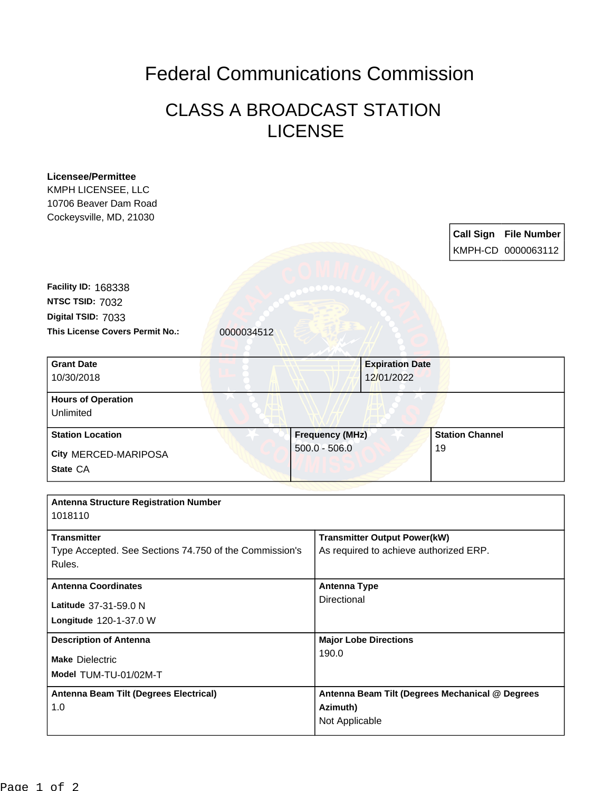## Federal Communications Commission

## CLASS A BROADCAST STATION LICENSE

| <b>Licensee/Permittee</b><br>KMPH LICENSEE, LLC<br>10706 Beaver Dam Road |                                                 |                                                 |                        |                       |  |
|--------------------------------------------------------------------------|-------------------------------------------------|-------------------------------------------------|------------------------|-----------------------|--|
| Cockeysville, MD, 21030                                                  |                                                 |                                                 |                        |                       |  |
|                                                                          |                                                 |                                                 |                        | Call Sign File Number |  |
|                                                                          |                                                 |                                                 |                        | KMPH-CD 0000063112    |  |
|                                                                          |                                                 |                                                 |                        |                       |  |
| Facility ID: 168338                                                      |                                                 |                                                 |                        |                       |  |
| NTSC TSID: 7032                                                          |                                                 |                                                 |                        |                       |  |
| Digital TSID: 7033<br>This License Covers Permit No.:                    |                                                 |                                                 |                        |                       |  |
| 0000034512                                                               |                                                 |                                                 |                        |                       |  |
| <b>Grant Date</b>                                                        |                                                 | <b>Expiration Date</b>                          |                        |                       |  |
| 10/30/2018                                                               |                                                 | 12/01/2022                                      |                        |                       |  |
| <b>Hours of Operation</b><br>Unlimited                                   |                                                 |                                                 |                        |                       |  |
| <b>Station Location</b>                                                  | <b>Frequency (MHz)</b><br>$500.0 - 506.0$<br>19 |                                                 | <b>Station Channel</b> |                       |  |
| City MERCED-MARIPOSA                                                     |                                                 |                                                 |                        |                       |  |
| State CA                                                                 |                                                 |                                                 |                        |                       |  |
|                                                                          |                                                 |                                                 |                        |                       |  |
| <b>Antenna Structure Registration Number</b><br>1018110                  |                                                 |                                                 |                        |                       |  |
| <b>Transmitter</b>                                                       |                                                 | <b>Transmitter Output Power(kW)</b>             |                        |                       |  |
| Type Accepted. See Sections 74.750 of the Commission's<br>Rules.         |                                                 | As required to achieve authorized ERP.          |                        |                       |  |
| <b>Antenna Coordinates</b>                                               |                                                 | <b>Antenna Type</b>                             |                        |                       |  |
| Latitude 37-31-59.0 N                                                    |                                                 | Directional                                     |                        |                       |  |
| Longitude 120-1-37.0 W                                                   |                                                 |                                                 |                        |                       |  |
| <b>Description of Antenna</b>                                            |                                                 | <b>Major Lobe Directions</b>                    |                        |                       |  |
| <b>Make Dielectric</b>                                                   | 190.0                                           |                                                 |                        |                       |  |
| Model TUM-TU-01/02M-T                                                    |                                                 |                                                 |                        |                       |  |
| Antenna Beam Tilt (Degrees Electrical)                                   |                                                 | Antenna Beam Tilt (Degrees Mechanical @ Degrees |                        |                       |  |
| 1.0                                                                      | Azimuth)<br>Not Applicable                      |                                                 |                        |                       |  |